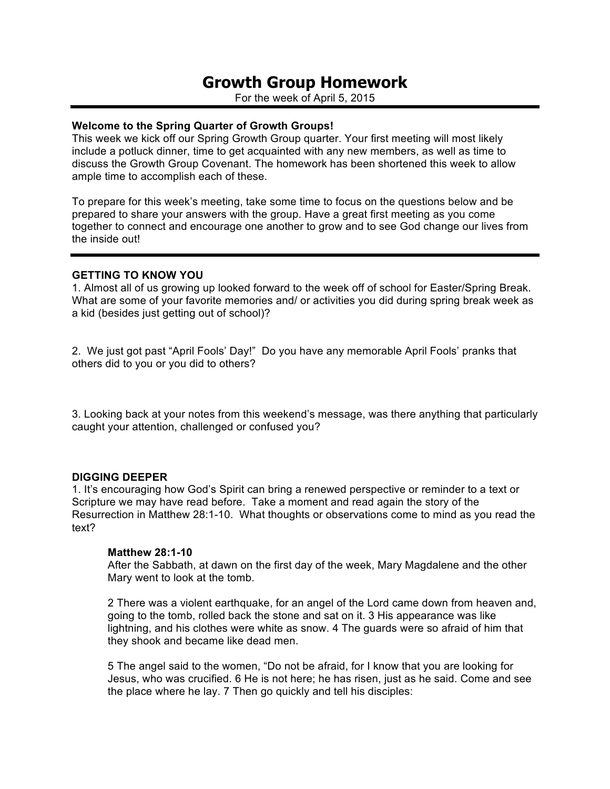# **Growth Group Homework**

For the week of April 5, 2015

### **Welcome to the Spring Quarter of Growth Groups!**

This week we kick off our Spring Growth Group quarter. Your first meeting will most likely include a potluck dinner, time to get acquainted with any new members, as well as time to discuss the Growth Group Covenant. The homework has been shortened this week to allow ample time to accomplish each of these.

To prepare for this week's meeting, take some time to focus on the questions below and be prepared to share your answers with the group. Have a great first meeting as you come together to connect and encourage one another to grow and to see God change our lives from the inside out!

### **GETTING TO KNOW YOU**

1. Almost all of us growing up looked forward to the week off of school for Easter/Spring Break. What are some of your favorite memories and/ or activities you did during spring break week as a kid (besides just getting out of school)?

2. We just got past "April Fools' Day!" Do you have any memorable April Fools' pranks that others did to you or you did to others?

3. Looking back at your notes from this weekend's message, was there anything that particularly caught your attention, challenged or confused you?

### **DIGGING DEEPER**

1. It's encouraging how God's Spirit can bring a renewed perspective or reminder to a text or Scripture we may have read before. Take a moment and read again the story of the Resurrection in Matthew 28:1-10. What thoughts or observations come to mind as you read the text?

### **Matthew 28:1-10**

After the Sabbath, at dawn on the first day of the week, Mary Magdalene and the other Mary went to look at the tomb.

2 There was a violent earthquake, for an angel of the Lord came down from heaven and, going to the tomb, rolled back the stone and sat on it. 3 His appearance was like lightning, and his clothes were white as snow. 4 The guards were so afraid of him that they shook and became like dead men.

5 The angel said to the women, "Do not be afraid, for I know that you are looking for Jesus, who was crucified. 6 He is not here; he has risen, just as he said. Come and see the place where he lay. 7 Then go quickly and tell his disciples: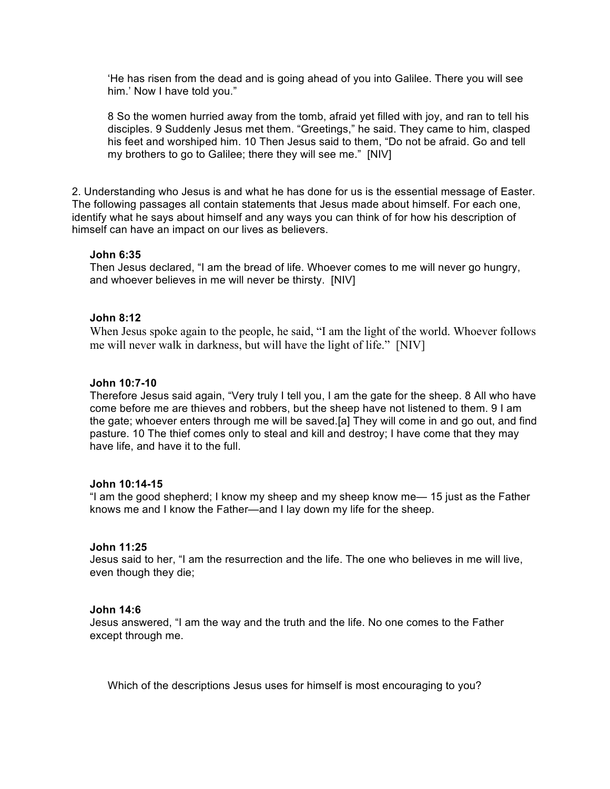'He has risen from the dead and is going ahead of you into Galilee. There you will see him.' Now I have told you."

8 So the women hurried away from the tomb, afraid yet filled with joy, and ran to tell his disciples. 9 Suddenly Jesus met them. "Greetings," he said. They came to him, clasped his feet and worshiped him. 10 Then Jesus said to them, "Do not be afraid. Go and tell my brothers to go to Galilee; there they will see me." [NIV]

2. Understanding who Jesus is and what he has done for us is the essential message of Easter. The following passages all contain statements that Jesus made about himself. For each one, identify what he says about himself and any ways you can think of for how his description of himself can have an impact on our lives as believers.

# **John 6:35**

Then Jesus declared, "I am the bread of life. Whoever comes to me will never go hungry, and whoever believes in me will never be thirsty. [NIV]

# **John 8:12**

When Jesus spoke again to the people, he said, "I am the light of the world. Whoever follows me will never walk in darkness, but will have the light of life." [NIV]

# **John 10:7-10**

Therefore Jesus said again, "Very truly I tell you, I am the gate for the sheep. 8 All who have come before me are thieves and robbers, but the sheep have not listened to them. 9 I am the gate; whoever enters through me will be saved.[a] They will come in and go out, and find pasture. 10 The thief comes only to steal and kill and destroy; I have come that they may have life, and have it to the full.

# **John 10:14-15**

"I am the good shepherd; I know my sheep and my sheep know me— 15 just as the Father knows me and I know the Father—and I lay down my life for the sheep.

# **John 11:25**

Jesus said to her, "I am the resurrection and the life. The one who believes in me will live, even though they die;

# **John 14:6**

Jesus answered, "I am the way and the truth and the life. No one comes to the Father except through me.

Which of the descriptions Jesus uses for himself is most encouraging to you?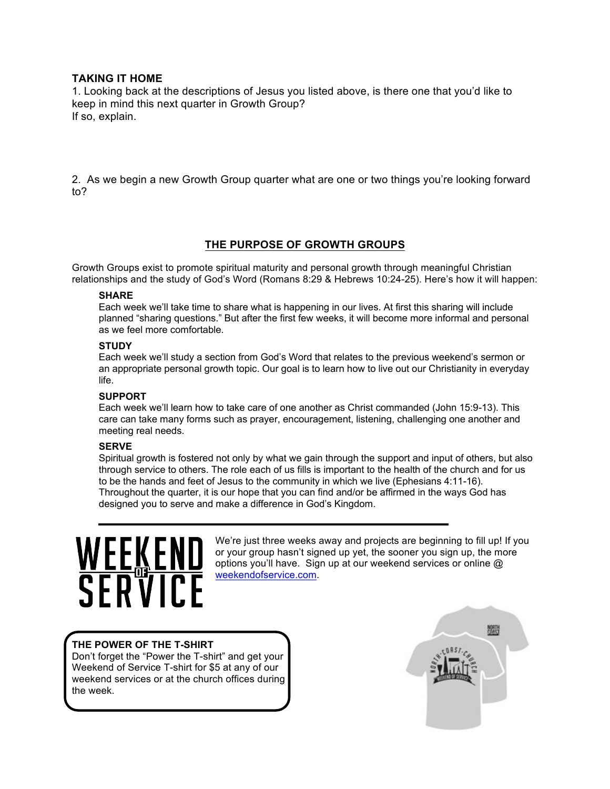# **TAKING IT HOME**

1. Looking back at the descriptions of Jesus you listed above, is there one that you'd like to keep in mind this next quarter in Growth Group? If so, explain.

2. As we begin a new Growth Group quarter what are one or two things you're looking forward to?

# **THE PURPOSE OF GROWTH GROUPS**

Growth Groups exist to promote spiritual maturity and personal growth through meaningful Christian relationships and the study of God's Word (Romans 8:29 & Hebrews 10:24-25). Here's how it will happen:

### **SHARE**

Each week we'll take time to share what is happening in our lives. At first this sharing will include planned "sharing questions." But after the first few weeks, it will become more informal and personal as we feel more comfortable.

### **STUDY**

Each week we'll study a section from God's Word that relates to the previous weekend's sermon or an appropriate personal growth topic. Our goal is to learn how to live out our Christianity in everyday life.

### **SUPPORT**

Each week we'll learn how to take care of one another as Christ commanded (John 15:9-13). This care can take many forms such as prayer, encouragement, listening, challenging one another and meeting real needs.

### **SERVE**

Spiritual growth is fostered not only by what we gain through the support and input of others, but also through service to others. The role each of us fills is important to the health of the church and for us to be the hands and feet of Jesus to the community in which we live (Ephesians 4:11-16). Throughout the quarter, it is our hope that you can find and/or be affirmed in the ways God has designed you to serve and make a difference in God's Kingdom.

# <u> WEE&EINE</u><br>SFRVICE

We're just three weeks away and projects are beginning to fill up! If you or your group hasn't signed up yet, the sooner you sign up, the more options you'll have. Sign up at our weekend services or online @ weekendofservice.com.

# **THE POWER OF THE T-SHIRT**

Don't forget the "Power the T-shirt" and get your Weekend of Service T-shirt for \$5 at any of our weekend services or at the church offices during the week.

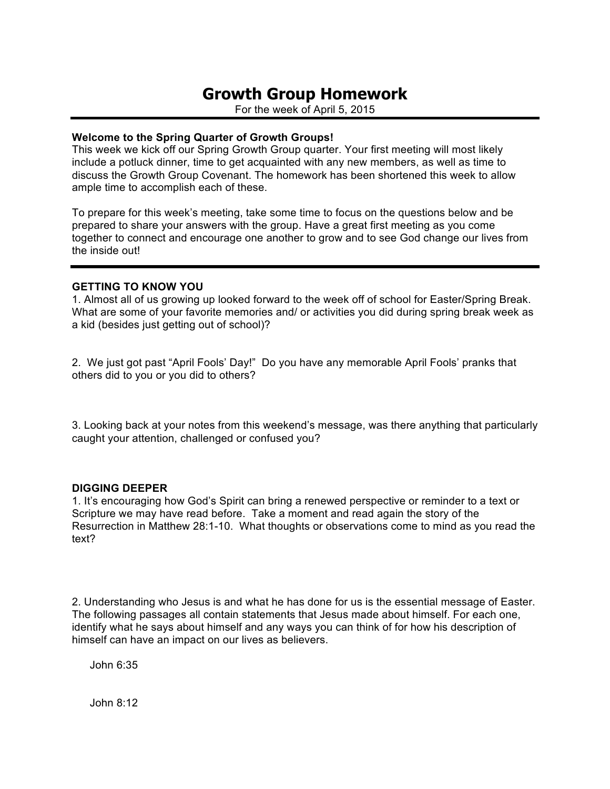# **Growth Group Homework**

For the week of April 5, 2015

# **Welcome to the Spring Quarter of Growth Groups!**

This week we kick off our Spring Growth Group quarter. Your first meeting will most likely include a potluck dinner, time to get acquainted with any new members, as well as time to discuss the Growth Group Covenant. The homework has been shortened this week to allow ample time to accomplish each of these.

To prepare for this week's meeting, take some time to focus on the questions below and be prepared to share your answers with the group. Have a great first meeting as you come together to connect and encourage one another to grow and to see God change our lives from the inside out!

# **GETTING TO KNOW YOU**

1. Almost all of us growing up looked forward to the week off of school for Easter/Spring Break. What are some of your favorite memories and/ or activities you did during spring break week as a kid (besides just getting out of school)?

2. We just got past "April Fools' Day!" Do you have any memorable April Fools' pranks that others did to you or you did to others?

3. Looking back at your notes from this weekend's message, was there anything that particularly caught your attention, challenged or confused you?

# **DIGGING DEEPER**

1. It's encouraging how God's Spirit can bring a renewed perspective or reminder to a text or Scripture we may have read before. Take a moment and read again the story of the Resurrection in Matthew 28:1-10. What thoughts or observations come to mind as you read the text?

2. Understanding who Jesus is and what he has done for us is the essential message of Easter. The following passages all contain statements that Jesus made about himself. For each one, identify what he says about himself and any ways you can think of for how his description of himself can have an impact on our lives as believers.

John 6:35

John 8:12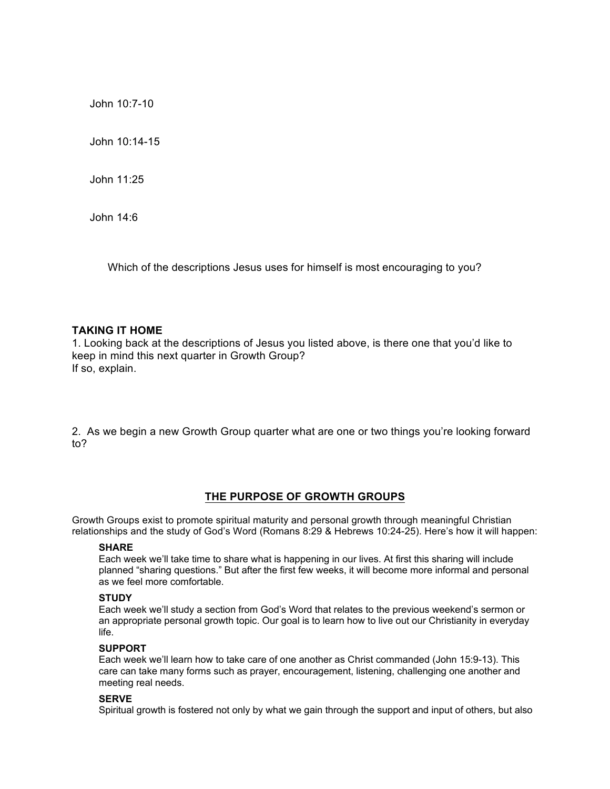John 10:7-10

John 10:14-15

John 11:25

John 14:6

Which of the descriptions Jesus uses for himself is most encouraging to you?

### **TAKING IT HOME**

1. Looking back at the descriptions of Jesus you listed above, is there one that you'd like to keep in mind this next quarter in Growth Group? If so, explain.

2. As we begin a new Growth Group quarter what are one or two things you're looking forward to?

# **THE PURPOSE OF GROWTH GROUPS**

Growth Groups exist to promote spiritual maturity and personal growth through meaningful Christian relationships and the study of God's Word (Romans 8:29 & Hebrews 10:24-25). Here's how it will happen:

### **SHARE**

Each week we'll take time to share what is happening in our lives. At first this sharing will include planned "sharing questions." But after the first few weeks, it will become more informal and personal as we feel more comfortable.

### **STUDY**

Each week we'll study a section from God's Word that relates to the previous weekend's sermon or an appropriate personal growth topic. Our goal is to learn how to live out our Christianity in everyday life.

### **SUPPORT**

Each week we'll learn how to take care of one another as Christ commanded (John 15:9-13). This care can take many forms such as prayer, encouragement, listening, challenging one another and meeting real needs.

### **SERVE**

Spiritual growth is fostered not only by what we gain through the support and input of others, but also